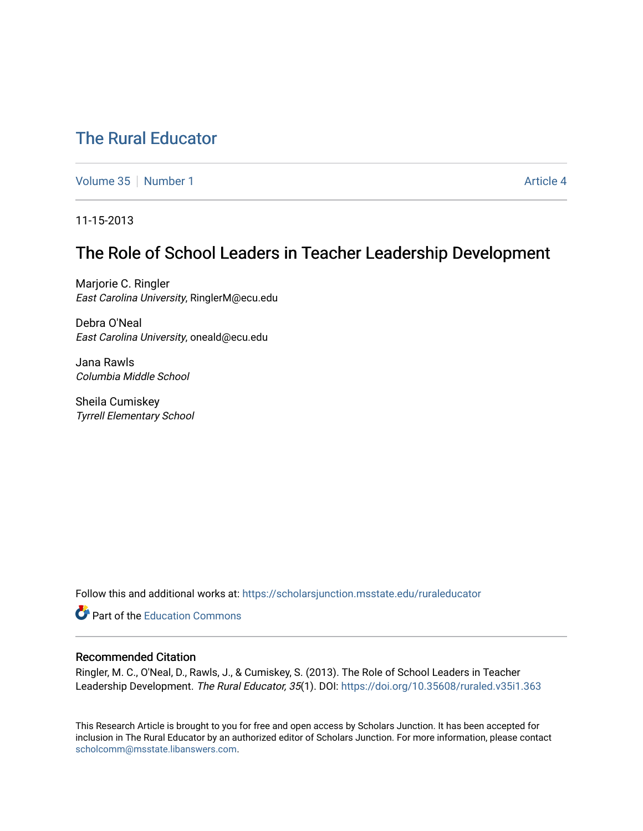# [The Rural Educator](https://scholarsjunction.msstate.edu/ruraleducator)

[Volume 35](https://scholarsjunction.msstate.edu/ruraleducator/vol35) [Number 1](https://scholarsjunction.msstate.edu/ruraleducator/vol35/iss1) Article 4

11-15-2013

# The Role of School Leaders in Teacher Leadership Development

Marjorie C. Ringler East Carolina University, RinglerM@ecu.edu

Debra O'Neal East Carolina University, oneald@ecu.edu

Jana Rawls Columbia Middle School

Sheila Cumiskey Tyrrell Elementary School

Follow this and additional works at: [https://scholarsjunction.msstate.edu/ruraleducator](https://scholarsjunction.msstate.edu/ruraleducator?utm_source=scholarsjunction.msstate.edu%2Fruraleducator%2Fvol35%2Fiss1%2F4&utm_medium=PDF&utm_campaign=PDFCoverPages)

**C** Part of the [Education Commons](http://network.bepress.com/hgg/discipline/784?utm_source=scholarsjunction.msstate.edu%2Fruraleducator%2Fvol35%2Fiss1%2F4&utm_medium=PDF&utm_campaign=PDFCoverPages)

## Recommended Citation

Ringler, M. C., O'Neal, D., Rawls, J., & Cumiskey, S. (2013). The Role of School Leaders in Teacher Leadership Development. The Rural Educator, 35(1). DOI: https://doi.org/10.35608/ruraled.v35i1.363

This Research Article is brought to you for free and open access by Scholars Junction. It has been accepted for inclusion in The Rural Educator by an authorized editor of Scholars Junction. For more information, please contact [scholcomm@msstate.libanswers.com.](mailto:scholcomm@msstate.libanswers.com)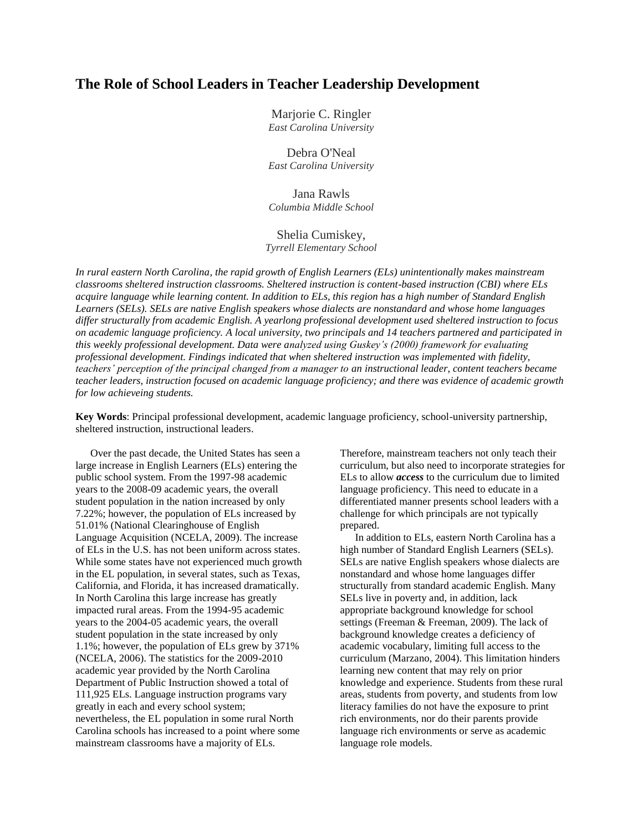## **The Role of School Leaders in Teacher Leadership Development**

Marjorie C. Ringler *East Carolina University*

Debra O'Neal *East Carolina University*

Jana Rawls *Columbia Middle School*

## Shelia Cumiskey, *Tyrrell Elementary School*

*In rural eastern North Carolina, the rapid growth of English Learners (ELs) unintentionally makes mainstream classrooms sheltered instruction classrooms. Sheltered instruction is content-based instruction (CBI) where ELs acquire language while learning content. In addition to ELs, this region has a high number of Standard English Learners (SELs). SELs are native English speakers whose dialects are nonstandard and whose home languages differ structurally from academic English. A yearlong professional development used sheltered instruction to focus on academic language proficiency. A local university, two principals and 14 teachers partnered and participated in this weekly professional development. Data were analyzed using Guskey's (2000) framework for evaluating professional development. Findings indicated that when sheltered instruction was implemented with fidelity, teachers' perception of the principal changed from a manager to an instructional leader, content teachers became teacher leaders, instruction focused on academic language proficiency; and there was evidence of academic growth for low achieveing students.* 

**Key Words**: Principal professional development, academic language proficiency, school-university partnership, sheltered instruction, instructional leaders.

Over the past decade, the United States has seen a large increase in English Learners (ELs) entering the public school system. From the 1997-98 academic years to the 2008-09 academic years, the overall student population in the nation increased by only 7.22%; however, the population of ELs increased by 51.01% (National Clearinghouse of English Language Acquisition (NCELA, 2009). The increase of ELs in the U.S. has not been uniform across states. While some states have not experienced much growth in the EL population, in several states, such as Texas, California, and Florida, it has increased dramatically. In North Carolina this large increase has greatly impacted rural areas. From the 1994-95 academic years to the 2004-05 academic years, the overall student population in the state increased by only 1.1%; however, the population of ELs grew by 371% (NCELA, 2006). The statistics for the 2009-2010 academic year provided by the North Carolina Department of Public Instruction showed a total of 111,925 ELs. Language instruction programs vary greatly in each and every school system; nevertheless, the EL population in some rural North Carolina schools has increased to a point where some mainstream classrooms have a majority of ELs.

Therefore, mainstream teachers not only teach their curriculum, but also need to incorporate strategies for ELs to allow *access* to the curriculum due to limited language proficiency. This need to educate in a differentiated manner presents school leaders with a challenge for which principals are not typically prepared.

In addition to ELs, eastern North Carolina has a high number of Standard English Learners (SELs). SELs are native English speakers whose dialects are nonstandard and whose home languages differ structurally from standard academic English. Many SELs live in poverty and, in addition, lack appropriate background knowledge for school settings (Freeman & Freeman, 2009). The lack of background knowledge creates a deficiency of academic vocabulary, limiting full access to the curriculum (Marzano, 2004). This limitation hinders learning new content that may rely on prior knowledge and experience. Students from these rural areas, students from poverty, and students from low literacy families do not have the exposure to print rich environments, nor do their parents provide language rich environments or serve as academic language role models.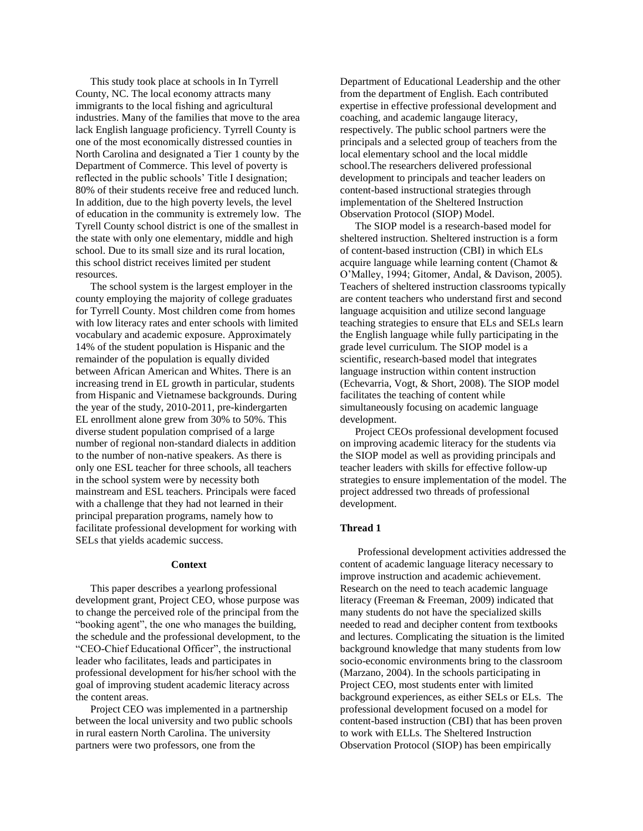This study took place at schools in In Tyrrell County, NC. The local economy attracts many immigrants to the local fishing and agricultural industries. Many of the families that move to the area lack English language proficiency. Tyrrell County is one of the most economically distressed counties in North Carolina and designated a Tier 1 county by the Department of Commerce. This level of poverty is reflected in the public schools' Title I designation; 80% of their students receive free and reduced lunch. In addition, due to the high poverty levels, the level of education in the community is extremely low. The Tyrell County school district is one of the smallest in the state with only one elementary, middle and high school. Due to its small size and its rural location, this school district receives limited per student resources.

The school system is the largest employer in the county employing the majority of college graduates for Tyrrell County. Most children come from homes with low literacy rates and enter schools with limited vocabulary and academic exposure. Approximately 14% of the student population is Hispanic and the remainder of the population is equally divided between African American and Whites. There is an increasing trend in EL growth in particular, students from Hispanic and Vietnamese backgrounds. During the year of the study, 2010-2011, pre-kindergarten EL enrollment alone grew from 30% to 50%. This diverse student population comprised of a large number of regional non-standard dialects in addition to the number of non-native speakers. As there is only one ESL teacher for three schools, all teachers in the school system were by necessity both mainstream and ESL teachers. Principals were faced with a challenge that they had not learned in their principal preparation programs, namely how to facilitate professional development for working with SELs that yields academic success.

#### **Context**

This paper describes a yearlong professional development grant, Project CEO, whose purpose was to change the perceived role of the principal from the "booking agent", the one who manages the building, the schedule and the professional development, to the "CEO-Chief Educational Officer", the instructional leader who facilitates, leads and participates in professional development for his/her school with the goal of improving student academic literacy across the content areas.

Project CEO was implemented in a partnership between the local university and two public schools in rural eastern North Carolina. The university partners were two professors, one from the

Department of Educational Leadership and the other from the department of English. Each contributed expertise in effective professional development and coaching, and academic langauge literacy, respectively. The public school partners were the principals and a selected group of teachers from the local elementary school and the local middle school.The researchers delivered professional development to principals and teacher leaders on content-based instructional strategies through implementation of the Sheltered Instruction Observation Protocol (SIOP) Model.

The SIOP model is a research-based model for sheltered instruction. Sheltered instruction is a form of content-based instruction (CBI) in which ELs acquire language while learning content (Chamot & O'Malley, 1994; Gitomer, Andal, & Davison, 2005). Teachers of sheltered instruction classrooms typically are content teachers who understand first and second language acquisition and utilize second language teaching strategies to ensure that ELs and SELs learn the English language while fully participating in the grade level curriculum. The SIOP model is a scientific, research-based model that integrates language instruction within content instruction (Echevarria, Vogt, & Short, 2008). The SIOP model facilitates the teaching of content while simultaneously focusing on academic language development.

Project CEOs professional development focused on improving academic literacy for the students via the SIOP model as well as providing principals and teacher leaders with skills for effective follow-up strategies to ensure implementation of the model. The project addressed two threads of professional development.

#### **Thread 1**

Professional development activities addressed the content of academic language literacy necessary to improve instruction and academic achievement. Research on the need to teach academic language literacy (Freeman & Freeman, 2009) indicated that many students do not have the specialized skills needed to read and decipher content from textbooks and lectures. Complicating the situation is the limited background knowledge that many students from low socio-economic environments bring to the classroom (Marzano, 2004). In the schools participating in Project CEO, most students enter with limited background experiences, as either SELs or ELs. The professional development focused on a model for content-based instruction (CBI) that has been proven to work with ELLs. The Sheltered Instruction Observation Protocol (SIOP) has been empirically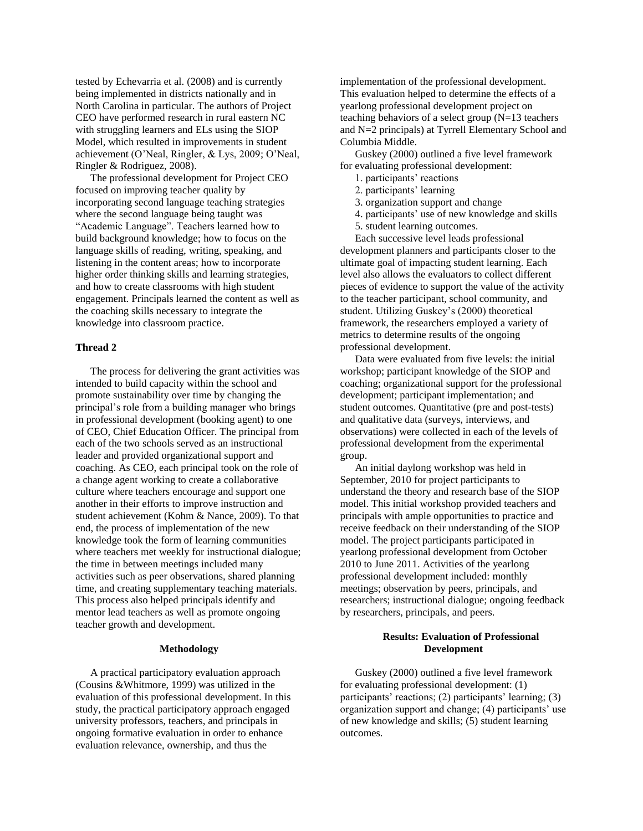tested by Echevarria et al. (2008) and is currently being implemented in districts nationally and in North Carolina in particular. The authors of Project CEO have performed research in rural eastern NC with struggling learners and ELs using the SIOP Model, which resulted in improvements in student achievement (O'Neal, Ringler, & Lys, 2009; O'Neal, Ringler & Rodriguez, 2008).

The professional development for Project CEO focused on improving teacher quality by incorporating second language teaching strategies where the second language being taught was "Academic Language". Teachers learned how to build background knowledge; how to focus on the language skills of reading, writing, speaking, and listening in the content areas; how to incorporate higher order thinking skills and learning strategies, and how to create classrooms with high student engagement. Principals learned the content as well as the coaching skills necessary to integrate the knowledge into classroom practice.

## **Thread 2**

The process for delivering the grant activities was intended to build capacity within the school and promote sustainability over time by changing the principal's role from a building manager who brings in professional development (booking agent) to one of CEO, Chief Education Officer. The principal from each of the two schools served as an instructional leader and provided organizational support and coaching. As CEO, each principal took on the role of a change agent working to create a collaborative culture where teachers encourage and support one another in their efforts to improve instruction and student achievement (Kohm & Nance, 2009). To that end, the process of implementation of the new knowledge took the form of learning communities where teachers met weekly for instructional dialogue; the time in between meetings included many activities such as peer observations, shared planning time, and creating supplementary teaching materials. This process also helped principals identify and mentor lead teachers as well as promote ongoing teacher growth and development.

### **Methodology**

A practical participatory evaluation approach (Cousins &Whitmore, 1999) was utilized in the evaluation of this professional development. In this study, the practical participatory approach engaged university professors, teachers, and principals in ongoing formative evaluation in order to enhance evaluation relevance, ownership, and thus the

implementation of the professional development. This evaluation helped to determine the effects of a yearlong professional development project on teaching behaviors of a select group (N=13 teachers and N=2 principals) at Tyrrell Elementary School and Columbia Middle.

Guskey (2000) outlined a five level framework for evaluating professional development:

- 1. participants' reactions
- 2. participants' learning
- 3. organization support and change
- 4. participants' use of new knowledge and skills
- 5. student learning outcomes.

Each successive level leads professional development planners and participants closer to the ultimate goal of impacting student learning. Each level also allows the evaluators to collect different pieces of evidence to support the value of the activity to the teacher participant, school community, and student. Utilizing Guskey's (2000) theoretical framework, the researchers employed a variety of metrics to determine results of the ongoing professional development.

Data were evaluated from five levels: the initial workshop; participant knowledge of the SIOP and coaching; organizational support for the professional development; participant implementation; and student outcomes. Quantitative (pre and post-tests) and qualitative data (surveys, interviews, and observations) were collected in each of the levels of professional development from the experimental group.

An initial daylong workshop was held in September, 2010 for project participants to understand the theory and research base of the SIOP model. This initial workshop provided teachers and principals with ample opportunities to practice and receive feedback on their understanding of the SIOP model. The project participants participated in yearlong professional development from October 2010 to June 2011. Activities of the yearlong professional development included: monthly meetings; observation by peers, principals, and researchers; instructional dialogue; ongoing feedback by researchers, principals, and peers.

## **Results: Evaluation of Professional Development**

Guskey (2000) outlined a five level framework for evaluating professional development: (1) participants' reactions; (2) participants' learning; (3) organization support and change; (4) participants' use of new knowledge and skills; (5) student learning outcomes.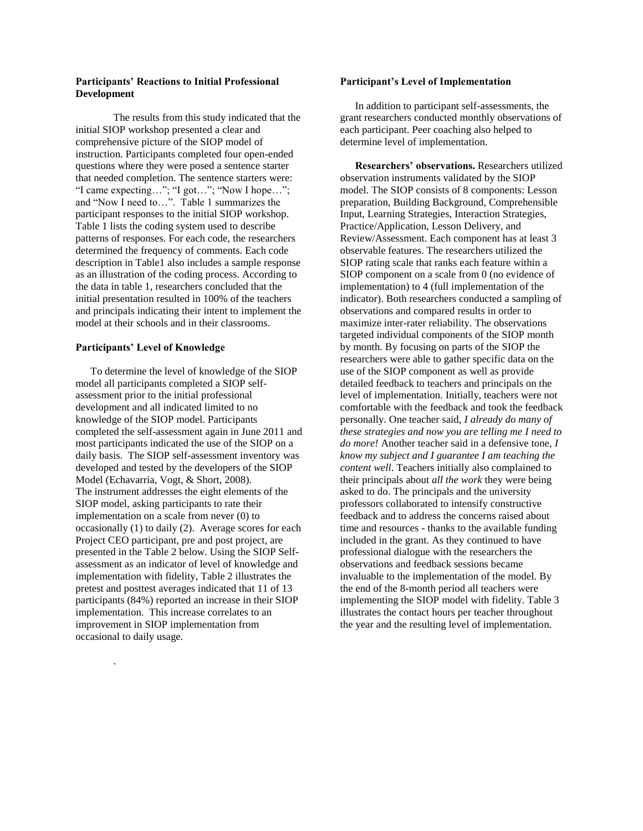## **Participants' Reactions to Initial Professional Development**

The results from this study indicated that the initial SIOP workshop presented a clear and comprehensive picture of the SIOP model of instruction. Participants completed four open-ended questions where they were posed a sentence starter that needed completion. The sentence starters were: "I came expecting…"; "I got…"; "Now I hope…"; and "Now I need to…". Table 1 summarizes the participant responses to the initial SIOP workshop. Table 1 lists the coding system used to describe patterns of responses. For each code, the researchers determined the frequency of comments. Each code description in Table1 also includes a sample response as an illustration of the coding process. According to the data in table 1, researchers concluded that the initial presentation resulted in 100% of the teachers and principals indicating their intent to implement the model at their schools and in their classrooms.

## **Participants' Level of Knowledge**

.

To determine the level of knowledge of the SIOP model all participants completed a SIOP selfassessment prior to the initial professional development and all indicated limited to no knowledge of the SIOP model. Participants completed the self-assessment again in June 2011 and most participants indicated the use of the SIOP on a daily basis. The SIOP self-assessment inventory was developed and tested by the developers of the SIOP Model (Echavarria, Vogt, & Short, 2008). The instrument addresses the eight elements of the SIOP model, asking participants to rate their implementation on a scale from never (0) to occasionally (1) to daily (2). Average scores for each Project CEO participant, pre and post project, are presented in the Table 2 below. Using the SIOP Selfassessment as an indicator of level of knowledge and implementation with fidelity, Table 2 illustrates the pretest and posttest averages indicated that 11 of 13 participants (84%) reported an increase in their SIOP implementation. This increase correlates to an improvement in SIOP implementation from occasional to daily usage.

## **Participant's Level of Implementation**

In addition to participant self-assessments, the grant researchers conducted monthly observations of each participant. Peer coaching also helped to determine level of implementation.

**Researchers' observations.** Researchers utilized observation instruments validated by the SIOP model. The SIOP consists of 8 components: Lesson preparation, Building Background, Comprehensible Input, Learning Strategies, Interaction Strategies, Practice/Application, Lesson Delivery, and Review/Assessment. Each component has at least 3 observable features. The researchers utilized the SIOP rating scale that ranks each feature within a SIOP component on a scale from 0 (no evidence of implementation) to 4 (full implementation of the indicator). Both researchers conducted a sampling of observations and compared results in order to maximize inter-rater reliability. The observations targeted individual components of the SIOP month by month. By focusing on parts of the SIOP the researchers were able to gather specific data on the use of the SIOP component as well as provide detailed feedback to teachers and principals on the level of implementation. Initially, teachers were not comfortable with the feedback and took the feedback personally. One teacher said, *I already do many of these strategies and now you are telling me I need to do more!* Another teacher said in a defensive tone, *I know my subject and I guarantee I am teaching the content well*. Teachers initially also complained to their principals about *all the work* they were being asked to do. The principals and the university professors collaborated to intensify constructive feedback and to address the concerns raised about time and resources - thanks to the available funding included in the grant. As they continued to have professional dialogue with the researchers the observations and feedback sessions became invaluable to the implementation of the model. By the end of the 8-month period all teachers were implementing the SIOP model with fidelity. Table 3 illustrates the contact hours per teacher throughout the year and the resulting level of implementation.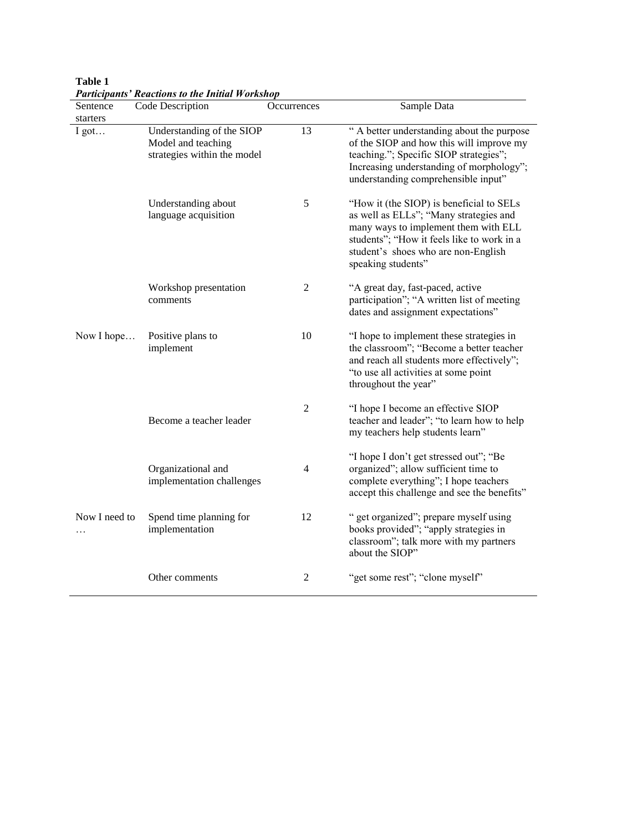| Table 1                                                |  |  |
|--------------------------------------------------------|--|--|
| <b>Participants' Reactions to the Initial Workshop</b> |  |  |

 $\frac{1}{\sqrt{2}}$ 

| Sentence      | Code Description                                                               | Occurrences    | Sample Data                                                                                                                                                                                                                           |
|---------------|--------------------------------------------------------------------------------|----------------|---------------------------------------------------------------------------------------------------------------------------------------------------------------------------------------------------------------------------------------|
| starters      |                                                                                |                |                                                                                                                                                                                                                                       |
| I got         | Understanding of the SIOP<br>Model and teaching<br>strategies within the model | 13             | " A better understanding about the purpose<br>of the SIOP and how this will improve my<br>teaching."; Specific SIOP strategies";<br>Increasing understanding of morphology";<br>understanding comprehensible input"                   |
|               | Understanding about<br>language acquisition                                    | 5              | "How it (the SIOP) is beneficial to SELs<br>as well as ELLs"; "Many strategies and<br>many ways to implement them with ELL<br>students"; "How it feels like to work in a<br>student's shoes who are non-English<br>speaking students" |
|               | Workshop presentation<br>comments                                              | 2              | "A great day, fast-paced, active<br>participation"; "A written list of meeting<br>dates and assignment expectations"                                                                                                                  |
| Now I hope    | Positive plans to<br>implement                                                 | 10             | "I hope to implement these strategies in<br>the classroom"; "Become a better teacher<br>and reach all students more effectively";<br>"to use all activities at some point<br>throughout the year"                                     |
|               | Become a teacher leader                                                        | 2              | "I hope I become an effective SIOP<br>teacher and leader"; "to learn how to help<br>my teachers help students learn"                                                                                                                  |
|               | Organizational and<br>implementation challenges                                | $\overline{4}$ | "I hope I don't get stressed out"; "Be<br>organized"; allow sufficient time to<br>complete everything"; I hope teachers<br>accept this challenge and see the benefits"                                                                |
| Now I need to | Spend time planning for<br>implementation                                      | 12             | " get organized"; prepare myself using<br>books provided"; "apply strategies in<br>classroom"; talk more with my partners<br>about the SIOP"                                                                                          |
|               | Other comments                                                                 | $\overline{c}$ | "get some rest"; "clone myself"                                                                                                                                                                                                       |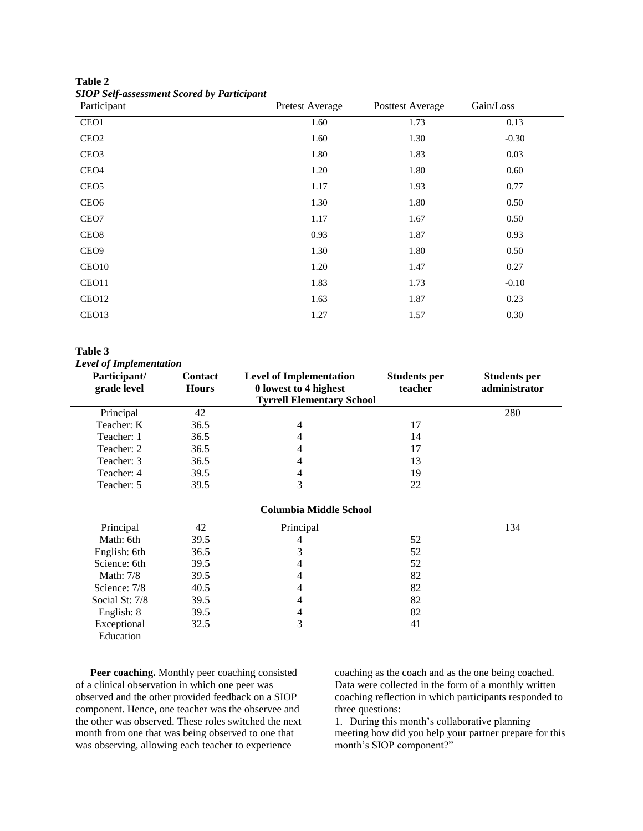| Table 2 |                                                   |
|---------|---------------------------------------------------|
|         | <b>SIOP Self-assessment Scored by Participant</b> |

| $\boldsymbol{\mathsf{v}}$<br>Participant | Pretest Average | <b>Posttest Average</b> | Gain/Loss |
|------------------------------------------|-----------------|-------------------------|-----------|
| CEO1                                     | 1.60            | 1.73                    | 0.13      |
| CEO <sub>2</sub>                         | 1.60            | 1.30                    | $-0.30$   |
| CEO <sub>3</sub>                         | 1.80            | 1.83                    | 0.03      |
| CEO <sub>4</sub>                         | 1.20            | 1.80                    | 0.60      |
| CEO <sub>5</sub>                         | 1.17            | 1.93                    | 0.77      |
| CEO <sub>6</sub>                         | 1.30            | 1.80                    | 0.50      |
| CEO7                                     | 1.17            | 1.67                    | 0.50      |
| CEO <sub>8</sub>                         | 0.93            | 1.87                    | 0.93      |
| CEO <sub>9</sub>                         | 1.30            | 1.80                    | 0.50      |
| CEO <sub>10</sub>                        | 1.20            | 1.47                    | 0.27      |
| CEO11                                    | 1.83            | 1.73                    | $-0.10$   |
| CEO12                                    | 1.63            | 1.87                    | 0.23      |
| CEO13                                    | 1.27            | 1.57                    | 0.30      |

**Table 3**

*Level of Implementation*

| Participant/     | <b>Contact</b> | <b>Level of Implementation</b>   | <b>Students per</b> | <b>Students per</b> |
|------------------|----------------|----------------------------------|---------------------|---------------------|
| grade level      | <b>Hours</b>   | 0 lowest to 4 highest            | teacher             | administrator       |
|                  |                | <b>Tyrrell Elementary School</b> |                     |                     |
| Principal        | 42             |                                  |                     | 280                 |
| Teacher: K       | 36.5           | 4                                | 17                  |                     |
| Teacher: 1       | 36.5           | 4                                | 14                  |                     |
| Teacher: 2       | 36.5           | 4                                | 17                  |                     |
| Teacher: 3       | 36.5           | 4                                | 13                  |                     |
| Teacher: 4       | 39.5           | 4                                | 19                  |                     |
| Teacher: 5       | 39.5           | 3                                | 22                  |                     |
|                  |                | <b>Columbia Middle School</b>    |                     |                     |
| Principal        | 42             | Principal                        |                     | 134                 |
| Math: 6th        | 39.5           | 4                                | 52                  |                     |
| English: 6th     | 36.5           | 3                                | 52                  |                     |
| Science: 6th     | 39.5           | 4                                | 52                  |                     |
| <b>Math:</b> 7/8 | 39.5           | 4                                | 82                  |                     |
| Science: 7/8     | 40.5           | 4                                | 82                  |                     |
| Social St: 7/8   | 39.5           | 4                                | 82                  |                     |
| English: 8       | 39.5           | 4                                | 82                  |                     |
| Exceptional      | 32.5           | 3                                | 41                  |                     |
| Education        |                |                                  |                     |                     |

**Peer coaching.** Monthly peer coaching consisted of a clinical observation in which one peer was observed and the other provided feedback on a SIOP component. Hence, one teacher was the observee and the other was observed. These roles switched the next month from one that was being observed to one that was observing, allowing each teacher to experience

coaching as the coach and as the one being coached. Data were collected in the form of a monthly written coaching reflection in which participants responded to three questions:

1. During this month's collaborative planning meeting how did you help your partner prepare for this month's SIOP component?"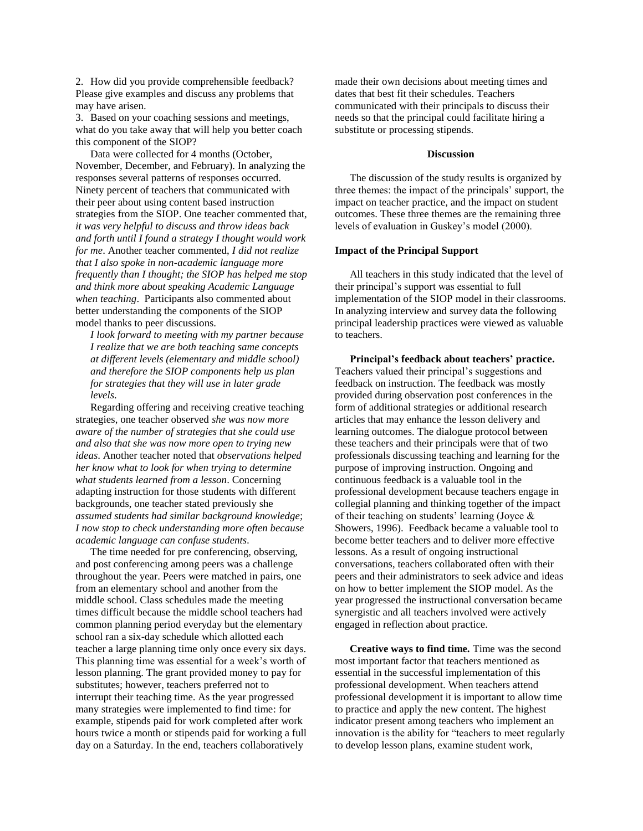2. How did you provide comprehensible feedback? Please give examples and discuss any problems that may have arisen.

3. Based on your coaching sessions and meetings, what do you take away that will help you better coach this component of the SIOP?

Data were collected for 4 months (October, November, December, and February). In analyzing the responses several patterns of responses occurred. Ninety percent of teachers that communicated with their peer about using content based instruction strategies from the SIOP. One teacher commented that, *it was very helpful to discuss and throw ideas back and forth until I found a strategy I thought would work for me*. Another teacher commented, *I did not realize that I also spoke in non-academic language more frequently than I thought; the SIOP has helped me stop and think more about speaking Academic Language when teaching*. Participants also commented about better understanding the components of the SIOP model thanks to peer discussions.

*I look forward to meeting with my partner because I realize that we are both teaching same concepts at different levels (elementary and middle school) and therefore the SIOP components help us plan for strategies that they will use in later grade levels*.

Regarding offering and receiving creative teaching strategies, one teacher observed *she was now more aware of the number of strategies that she could use and also that she was now more open to trying new ideas*. Another teacher noted that *observations helped her know what to look for when trying to determine what students learned from a lesson*. Concerning adapting instruction for those students with different backgrounds, one teacher stated previously she *assumed students had similar background knowledge*; *I now stop to check understanding more often because academic language can confuse students.*

The time needed for pre conferencing, observing, and post conferencing among peers was a challenge throughout the year. Peers were matched in pairs, one from an elementary school and another from the middle school. Class schedules made the meeting times difficult because the middle school teachers had common planning period everyday but the elementary school ran a six-day schedule which allotted each teacher a large planning time only once every six days. This planning time was essential for a week's worth of lesson planning. The grant provided money to pay for substitutes; however, teachers preferred not to interrupt their teaching time. As the year progressed many strategies were implemented to find time: for example, stipends paid for work completed after work hours twice a month or stipends paid for working a full day on a Saturday. In the end, teachers collaboratively

made their own decisions about meeting times and dates that best fit their schedules. Teachers communicated with their principals to discuss their needs so that the principal could facilitate hiring a substitute or processing stipends.

#### **Discussion**

The discussion of the study results is organized by three themes: the impact of the principals' support, the impact on teacher practice, and the impact on student outcomes. These three themes are the remaining three levels of evaluation in Guskey's model (2000).

#### **Impact of the Principal Support**

All teachers in this study indicated that the level of their principal's support was essential to full implementation of the SIOP model in their classrooms. In analyzing interview and survey data the following principal leadership practices were viewed as valuable to teachers.

**Principal's feedback about teachers' practice.** Teachers valued their principal's suggestions and feedback on instruction. The feedback was mostly provided during observation post conferences in the form of additional strategies or additional research articles that may enhance the lesson delivery and learning outcomes. The dialogue protocol between these teachers and their principals were that of two professionals discussing teaching and learning for the purpose of improving instruction. Ongoing and continuous feedback is a valuable tool in the professional development because teachers engage in collegial planning and thinking together of the impact of their teaching on students' learning (Joyce & Showers, 1996). Feedback became a valuable tool to become better teachers and to deliver more effective lessons. As a result of ongoing instructional conversations, teachers collaborated often with their peers and their administrators to seek advice and ideas on how to better implement the SIOP model. As the year progressed the instructional conversation became synergistic and all teachers involved were actively engaged in reflection about practice.

**Creative ways to find time.** Time was the second most important factor that teachers mentioned as essential in the successful implementation of this professional development. When teachers attend professional development it is important to allow time to practice and apply the new content. The highest indicator present among teachers who implement an innovation is the ability for "teachers to meet regularly to develop lesson plans, examine student work,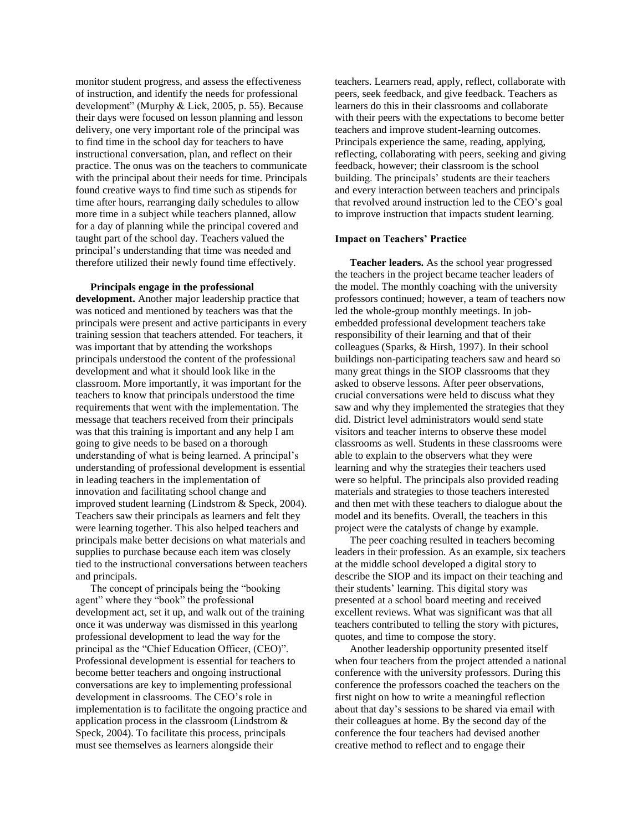monitor student progress, and assess the effectiveness of instruction, and identify the needs for professional development" (Murphy & Lick, 2005, p. 55). Because their days were focused on lesson planning and lesson delivery, one very important role of the principal was to find time in the school day for teachers to have instructional conversation, plan, and reflect on their practice. The onus was on the teachers to communicate with the principal about their needs for time. Principals found creative ways to find time such as stipends for time after hours, rearranging daily schedules to allow more time in a subject while teachers planned, allow for a day of planning while the principal covered and taught part of the school day. Teachers valued the principal's understanding that time was needed and therefore utilized their newly found time effectively.

#### **Principals engage in the professional**

**development.** Another major leadership practice that was noticed and mentioned by teachers was that the principals were present and active participants in every training session that teachers attended. For teachers, it was important that by attending the workshops principals understood the content of the professional development and what it should look like in the classroom. More importantly, it was important for the teachers to know that principals understood the time requirements that went with the implementation. The message that teachers received from their principals was that this training is important and any help I am going to give needs to be based on a thorough understanding of what is being learned. A principal's understanding of professional development is essential in leading teachers in the implementation of innovation and facilitating school change and improved student learning (Lindstrom & Speck, 2004). Teachers saw their principals as learners and felt they were learning together. This also helped teachers and principals make better decisions on what materials and supplies to purchase because each item was closely tied to the instructional conversations between teachers and principals.

The concept of principals being the "booking agent" where they "book" the professional development act, set it up, and walk out of the training once it was underway was dismissed in this yearlong professional development to lead the way for the principal as the "Chief Education Officer, (CEO)". Professional development is essential for teachers to become better teachers and ongoing instructional conversations are key to implementing professional development in classrooms. The CEO's role in implementation is to facilitate the ongoing practice and application process in the classroom (Lindstrom & Speck, 2004). To facilitate this process, principals must see themselves as learners alongside their

teachers. Learners read, apply, reflect, collaborate with peers, seek feedback, and give feedback. Teachers as learners do this in their classrooms and collaborate with their peers with the expectations to become better teachers and improve student-learning outcomes. Principals experience the same, reading, applying, reflecting, collaborating with peers, seeking and giving feedback, however; their classroom is the school building. The principals' students are their teachers and every interaction between teachers and principals that revolved around instruction led to the CEO's goal to improve instruction that impacts student learning.

### **Impact on Teachers' Practice**

**Teacher leaders.** As the school year progressed the teachers in the project became teacher leaders of the model. The monthly coaching with the university professors continued; however, a team of teachers now led the whole-group monthly meetings. In jobembedded professional development teachers take responsibility of their learning and that of their colleagues (Sparks, & Hirsh, 1997). In their school buildings non-participating teachers saw and heard so many great things in the SIOP classrooms that they asked to observe lessons. After peer observations, crucial conversations were held to discuss what they saw and why they implemented the strategies that they did. District level administrators would send state visitors and teacher interns to observe these model classrooms as well. Students in these classrooms were able to explain to the observers what they were learning and why the strategies their teachers used were so helpful. The principals also provided reading materials and strategies to those teachers interested and then met with these teachers to dialogue about the model and its benefits. Overall, the teachers in this project were the catalysts of change by example.

The peer coaching resulted in teachers becoming leaders in their profession. As an example, six teachers at the middle school developed a digital story to describe the SIOP and its impact on their teaching and their students' learning. This digital story was presented at a school board meeting and received excellent reviews. What was significant was that all teachers contributed to telling the story with pictures, quotes, and time to compose the story.

Another leadership opportunity presented itself when four teachers from the project attended a national conference with the university professors. During this conference the professors coached the teachers on the first night on how to write a meaningful reflection about that day's sessions to be shared via email with their colleagues at home. By the second day of the conference the four teachers had devised another creative method to reflect and to engage their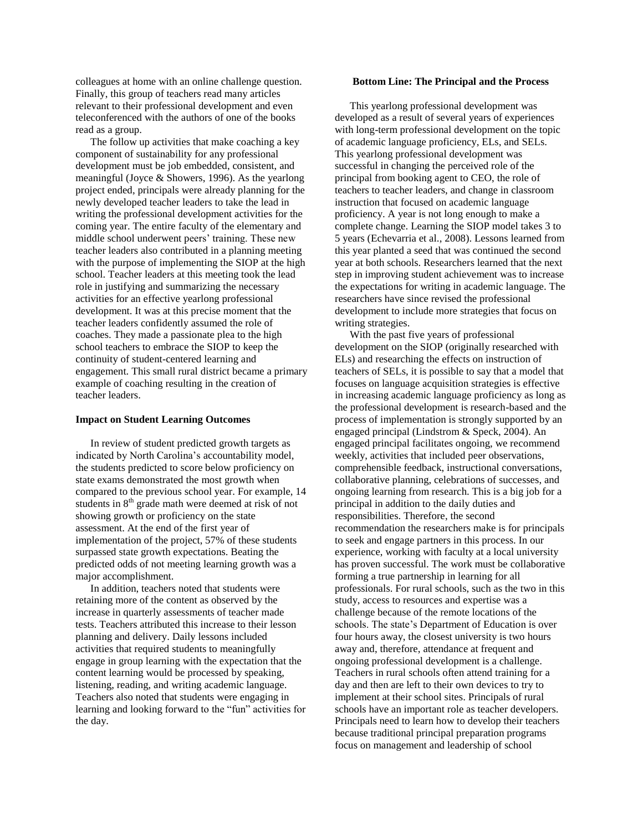colleagues at home with an online challenge question. Finally, this group of teachers read many articles relevant to their professional development and even teleconferenced with the authors of one of the books read as a group.

The follow up activities that make coaching a key component of sustainability for any professional development must be job embedded, consistent, and meaningful (Joyce & Showers, 1996). As the yearlong project ended, principals were already planning for the newly developed teacher leaders to take the lead in writing the professional development activities for the coming year. The entire faculty of the elementary and middle school underwent peers' training. These new teacher leaders also contributed in a planning meeting with the purpose of implementing the SIOP at the high school. Teacher leaders at this meeting took the lead role in justifying and summarizing the necessary activities for an effective yearlong professional development. It was at this precise moment that the teacher leaders confidently assumed the role of coaches. They made a passionate plea to the high school teachers to embrace the SIOP to keep the continuity of student-centered learning and engagement. This small rural district became a primary example of coaching resulting in the creation of teacher leaders.

## **Impact on Student Learning Outcomes**

In review of student predicted growth targets as indicated by North Carolina's accountability model, the students predicted to score below proficiency on state exams demonstrated the most growth when compared to the previous school year. For example, 14 students in  $8<sup>th</sup>$  grade math were deemed at risk of not showing growth or proficiency on the state assessment. At the end of the first year of implementation of the project, 57% of these students surpassed state growth expectations. Beating the predicted odds of not meeting learning growth was a major accomplishment.

In addition, teachers noted that students were retaining more of the content as observed by the increase in quarterly assessments of teacher made tests. Teachers attributed this increase to their lesson planning and delivery. Daily lessons included activities that required students to meaningfully engage in group learning with the expectation that the content learning would be processed by speaking, listening, reading, and writing academic language. Teachers also noted that students were engaging in learning and looking forward to the "fun" activities for the day.

#### **Bottom Line: The Principal and the Process**

This yearlong professional development was developed as a result of several years of experiences with long-term professional development on the topic of academic language proficiency, ELs, and SELs. This yearlong professional development was successful in changing the perceived role of the principal from booking agent to CEO, the role of teachers to teacher leaders, and change in classroom instruction that focused on academic language proficiency. A year is not long enough to make a complete change. Learning the SIOP model takes 3 to 5 years (Echevarria et al., 2008). Lessons learned from this year planted a seed that was continued the second year at both schools. Researchers learned that the next step in improving student achievement was to increase the expectations for writing in academic language. The researchers have since revised the professional development to include more strategies that focus on writing strategies.

With the past five years of professional development on the SIOP (originally researched with ELs) and researching the effects on instruction of teachers of SELs, it is possible to say that a model that focuses on language acquisition strategies is effective in increasing academic language proficiency as long as the professional development is research-based and the process of implementation is strongly supported by an engaged principal (Lindstrom & Speck, 2004). An engaged principal facilitates ongoing, we recommend weekly, activities that included peer observations, comprehensible feedback, instructional conversations, collaborative planning, celebrations of successes, and ongoing learning from research. This is a big job for a principal in addition to the daily duties and responsibilities. Therefore, the second recommendation the researchers make is for principals to seek and engage partners in this process. In our experience, working with faculty at a local university has proven successful. The work must be collaborative forming a true partnership in learning for all professionals. For rural schools, such as the two in this study, access to resources and expertise was a challenge because of the remote locations of the schools. The state's Department of Education is over four hours away, the closest university is two hours away and, therefore, attendance at frequent and ongoing professional development is a challenge. Teachers in rural schools often attend training for a day and then are left to their own devices to try to implement at their school sites. Principals of rural schools have an important role as teacher developers. Principals need to learn how to develop their teachers because traditional principal preparation programs focus on management and leadership of school